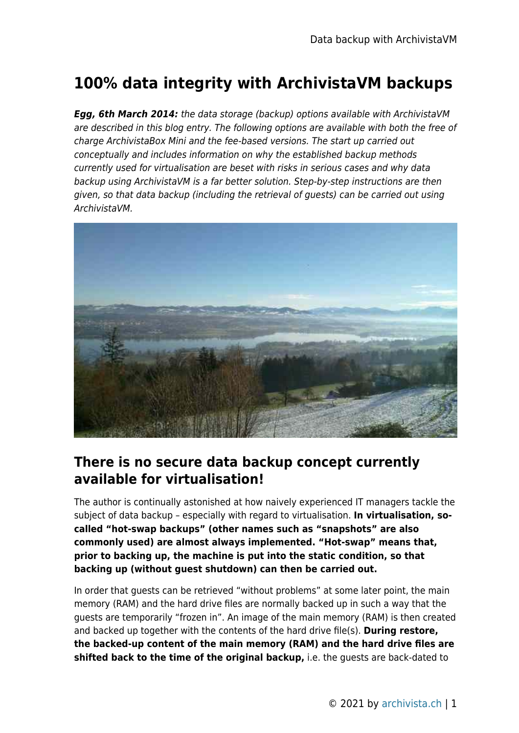# **100% data integrity with ArchivistaVM backups**

*Egg, 6th March 2014:* the data storage (backup) options available with ArchivistaVM are described in this blog entry. The following options are available with both the free of charge ArchivistaBox Mini and the fee-based versions. The start up carried out conceptually and includes information on why the established backup methods currently used for virtualisation are beset with risks in serious cases and why data backup using ArchivistaVM is a far better solution. Step-by-step instructions are then given, so that data backup (including the retrieval of guests) can be carried out using ArchivistaVM.



#### **There is no secure data backup concept currently available for virtualisation!**

The author is continually astonished at how naively experienced IT managers tackle the subject of data backup – especially with regard to virtualisation. **In virtualisation, socalled "hot-swap backups" (other names such as "snapshots" are also commonly used) are almost always implemented. "Hot-swap" means that, prior to backing up, the machine is put into the static condition, so that backing up (without guest shutdown) can then be carried out.**

In order that guests can be retrieved "without problems" at some later point, the main memory (RAM) and the hard drive files are normally backed up in such a way that the guests are temporarily "frozen in". An image of the main memory (RAM) is then created and backed up together with the contents of the hard drive file(s). **During restore, the backed-up content of the main memory (RAM) and the hard drive files are shifted back to the time of the original backup,** i.e. the guests are back-dated to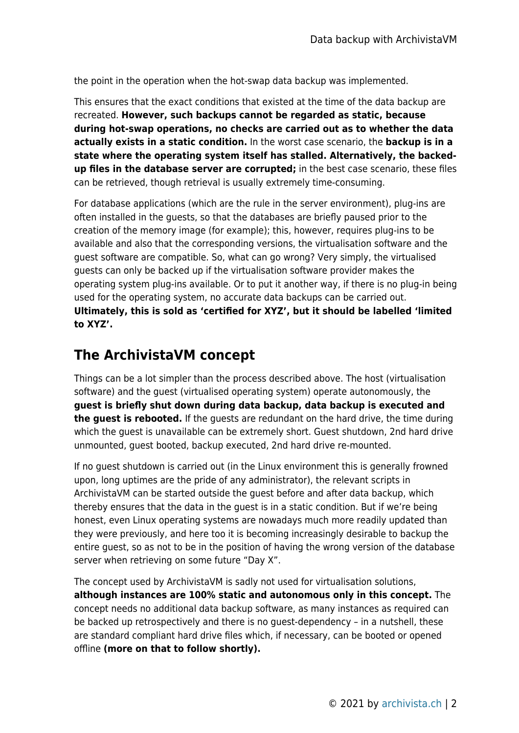the point in the operation when the hot-swap data backup was implemented.

This ensures that the exact conditions that existed at the time of the data backup are recreated. **However, such backups cannot be regarded as static, because during hot-swap operations, no checks are carried out as to whether the data actually exists in a static condition.** In the worst case scenario, the **backup is in a state where the operating system itself has stalled. Alternatively, the backedup files in the database server are corrupted;** in the best case scenario, these files can be retrieved, though retrieval is usually extremely time-consuming.

For database applications (which are the rule in the server environment), plug-ins are often installed in the guests, so that the databases are briefly paused prior to the creation of the memory image (for example); this, however, requires plug-ins to be available and also that the corresponding versions, the virtualisation software and the guest software are compatible. So, what can go wrong? Very simply, the virtualised guests can only be backed up if the virtualisation software provider makes the operating system plug-ins available. Or to put it another way, if there is no plug-in being used for the operating system, no accurate data backups can be carried out. **Ultimately, this is sold as 'certified for XYZ', but it should be labelled 'limited to XYZ'.**

## **The ArchivistaVM concept**

Things can be a lot simpler than the process described above. The host (virtualisation software) and the guest (virtualised operating system) operate autonomously, the **guest is briefly shut down during data backup, data backup is executed and the guest is rebooted.** If the guests are redundant on the hard drive, the time during which the guest is unavailable can be extremely short. Guest shutdown, 2nd hard drive unmounted, guest booted, backup executed, 2nd hard drive re-mounted.

If no guest shutdown is carried out (in the Linux environment this is generally frowned upon, long uptimes are the pride of any administrator), the relevant scripts in ArchivistaVM can be started outside the guest before and after data backup, which thereby ensures that the data in the guest is in a static condition. But if we're being honest, even Linux operating systems are nowadays much more readily updated than they were previously, and here too it is becoming increasingly desirable to backup the entire guest, so as not to be in the position of having the wrong version of the database server when retrieving on some future "Day X".

The concept used by ArchivistaVM is sadly not used for virtualisation solutions, **although instances are 100% static and autonomous only in this concept.** The concept needs no additional data backup software, as many instances as required can be backed up retrospectively and there is no guest-dependency – in a nutshell, these are standard compliant hard drive files which, if necessary, can be booted or opened offline **(more on that to follow shortly).**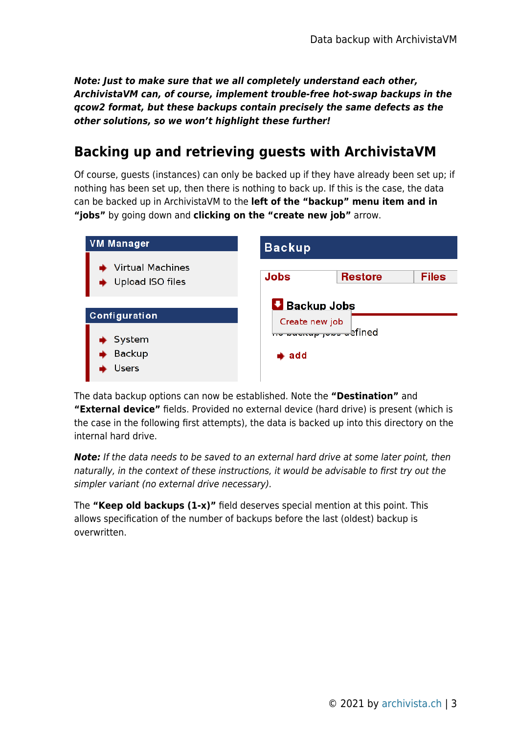*Note: Just to make sure that we all completely understand each other, ArchivistaVM can, of course, implement trouble-free hot-swap backups in the qcow2 format, but these backups contain precisely the same defects as the other solutions, so we won't highlight these further!*

### **Backing up and retrieving guests with ArchivistaVM**

Of course, guests (instances) can only be backed up if they have already been set up; if nothing has been set up, then there is nothing to back up. If this is the case, the data can be backed up in ArchivistaVM to the **left of the "backup" menu item and in "jobs"** by going down and **clicking on the "create new job"** arrow.

| <b>VM Manager</b>                           | <b>Backup</b>                                      |  |  |  |  |  |
|---------------------------------------------|----------------------------------------------------|--|--|--|--|--|
| <b>Virtual Machines</b><br>Upload ISO files | <b>Jobs</b><br><b>Files</b><br><b>Restore</b>      |  |  |  |  |  |
| Configuration                               | <b>Backup Jobs</b>                                 |  |  |  |  |  |
| System<br><b>Backup</b><br>Users            | Create new job<br>bre www.wp jows wefined<br>➡ add |  |  |  |  |  |

The data backup options can now be established. Note the **"Destination"** and **"External device"** fields. Provided no external device (hard drive) is present (which is the case in the following first attempts), the data is backed up into this directory on the internal hard drive.

*Note:* If the data needs to be saved to an external hard drive at some later point, then naturally, in the context of these instructions, it would be advisable to first try out the simpler variant (no external drive necessary).

The **"Keep old backups (1-x)"** field deserves special mention at this point. This allows specification of the number of backups before the last (oldest) backup is overwritten.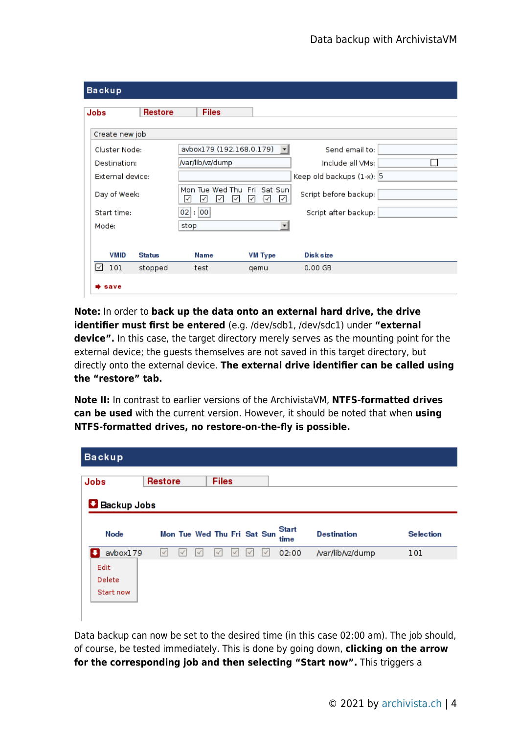| <b>Backup</b>       |                |                                                   |                          |                              |
|---------------------|----------------|---------------------------------------------------|--------------------------|------------------------------|
| Jobs                | <b>Restore</b> | <b>Files</b>                                      |                          |                              |
| Create new job      |                |                                                   |                          |                              |
| Cluster Node:       |                | avbox179 (192.168.0.179)                          | $\overline{\phantom{a}}$ | Send email to:               |
| Destination:        |                | /var/lib/vz/dump                                  |                          | Include all VMs:             |
| External device:    |                |                                                   |                          | Keep old backups $(1-x)$ : 5 |
| Day of Week:        |                | Mon Tue Wed Thu Fri Sat Sun<br>∣√<br>√<br>∣√<br>M | ∨<br>∣√                  | Script before backup:        |
| Start time:         |                | $02$ : 00                                         |                          | Script after backup:         |
| Mode:               |                | stop                                              |                          |                              |
|                     |                |                                                   |                          |                              |
| <b>VMID</b>         | <b>Status</b>  | Name                                              | <b>VM Type</b>           | <b>Disk size</b>             |
| 101<br>$\checkmark$ | stopped        | test                                              | qemu                     | $0.00$ GB                    |
| save                |                |                                                   |                          |                              |

**Note:** In order to **back up the data onto an external hard drive, the drive identifier must first be entered** (e.g. /dev/sdb1, /dev/sdc1) under **"external device".** In this case, the target directory merely serves as the mounting point for the external device; the guests themselves are not saved in this target directory, but directly onto the external device. **The external drive identifier can be called using the "restore" tab.**

**Note II:** In contrast to earlier versions of the ArchivistaVM, **NTFS-formatted drives can be used** with the current version. However, it should be noted that when **using NTFS-formatted drives, no restore-on-the-fly is possible.**

| <b>Backup</b>               |                |   |                             |          |                      |                    |                  |
|-----------------------------|----------------|---|-----------------------------|----------|----------------------|--------------------|------------------|
| Jobs                        | <b>Restore</b> |   | <b>Files</b>                |          |                      |                    |                  |
| <b>Backup Jobs</b>          |                |   |                             |          |                      |                    |                  |
| Node                        |                |   | Mon Tue Wed Thu Fri Sat Sun |          | <b>Start</b><br>time | <b>Destination</b> | <b>Selection</b> |
| avbox179                    | $\prec'$       | 4 |                             | $\prec'$ | 02:00                | /var/lib/vz/dump   | 101              |
| Edit<br>Delete<br>Start now |                |   |                             |          |                      |                    |                  |

Data backup can now be set to the desired time (in this case 02:00 am). The job should, of course, be tested immediately. This is done by going down, **clicking on the arrow for the corresponding job and then selecting "Start now".** This triggers a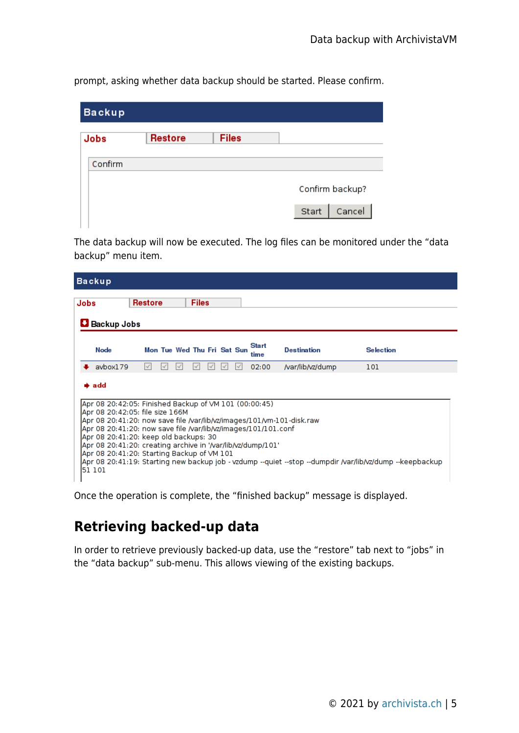prompt, asking whether data backup should be started. Please confirm.

| <b>Backup</b> |                |              |                 |
|---------------|----------------|--------------|-----------------|
| Jobs          | <b>Restore</b> | <b>Files</b> |                 |
| Confirm       |                |              |                 |
|               |                |              | Confirm backup? |
|               |                |              | Cancel<br>Start |

The data backup will now be executed. The log files can be monitored under the "data backup" menu item.

|      | <b>Backup</b>                                                                                                                                                                                                                                                                                                                                 |                |  |  |  |              |  |  |                             |                      |                                                                       |                                                                                                          |  |
|------|-----------------------------------------------------------------------------------------------------------------------------------------------------------------------------------------------------------------------------------------------------------------------------------------------------------------------------------------------|----------------|--|--|--|--------------|--|--|-----------------------------|----------------------|-----------------------------------------------------------------------|----------------------------------------------------------------------------------------------------------|--|
| Jobs |                                                                                                                                                                                                                                                                                                                                               | <b>Restore</b> |  |  |  | <b>Files</b> |  |  |                             |                      |                                                                       |                                                                                                          |  |
|      | <b>L</b> Backup Jobs                                                                                                                                                                                                                                                                                                                          |                |  |  |  |              |  |  |                             |                      |                                                                       |                                                                                                          |  |
|      | Node                                                                                                                                                                                                                                                                                                                                          |                |  |  |  |              |  |  | Mon Tue Wed Thu Fri Sat Sun | <b>Start</b><br>time | <b>Destination</b>                                                    | <b>Selection</b>                                                                                         |  |
|      | aybox179                                                                                                                                                                                                                                                                                                                                      |                |  |  |  |              |  |  |                             | 02:00                | /var/lib/vz/dump                                                      | 101                                                                                                      |  |
|      | $\clubsuit$ add<br>Apr 08 20:42:05: Finished Backup of VM 101 (00:00:45)<br>Apr 08 20:42:05: file size 166M<br>Apr 08 20:41:20: now save file /var/lib/vz/images/101/101.conf<br>Apr 08 20:41:20: keep old backups: 30<br>Apr 08 20:41:20: creating archive in '/var/lib/vz/dump/101'<br>Apr 08 20:41:20: Starting Backup of VM 101<br>51 101 |                |  |  |  |              |  |  |                             |                      | Apr 08 20:41:20: now save file /var/lib/vz/images/101/vm-101-disk.raw | Apr 08 20:41:19: Starting new backup job - vzdump --quiet --stop --dumpdir /var/lib/vz/dump --keepbackup |  |

Once the operation is complete, the "finished backup" message is displayed.

#### **Retrieving backed-up data**

In order to retrieve previously backed-up data, use the "restore" tab next to "jobs" in the "data backup" sub-menu. This allows viewing of the existing backups.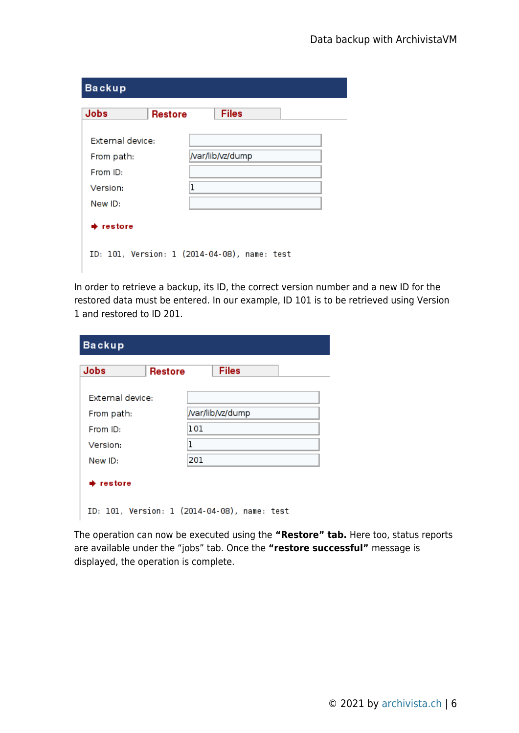| <b>Backup</b>     |         |                                              |
|-------------------|---------|----------------------------------------------|
| Jobs              | Restore | <b>Files</b>                                 |
| External device:  |         |                                              |
| From path:        |         | /var/lib/vz/dump                             |
| From ID:          |         |                                              |
| Version:          | 1       |                                              |
| New ID:           |         |                                              |
| $\bullet$ restore |         |                                              |
|                   |         | ID: 101, Version: 1 (2014-04-08), name: test |

In order to retrieve a backup, its ID, the correct version number and a new ID for the restored data must be entered. In our example, ID 101 is to be retrieved using Version 1 and restored to ID 201.

| <b>Backup</b>    |                |                                              |
|------------------|----------------|----------------------------------------------|
| Jobs             | <b>Restore</b> | <b>Files</b>                                 |
| External device: |                |                                              |
| From path:       |                | /var/lib/vz/dump                             |
| From ID:         |                | 101                                          |
| Version:         |                | 1                                            |
| New ID:          |                | 201                                          |
| restore          |                |                                              |
|                  |                | ID: 101, Version: 1 (2014-04-08), name: test |

The operation can now be executed using the **"Restore" tab.** Here too, status reports are available under the "jobs" tab. Once the **"restore successful"** message is displayed, the operation is complete.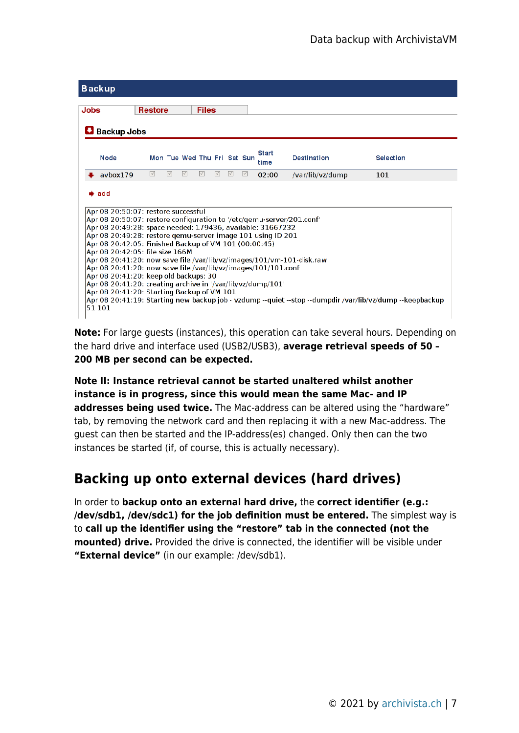

**Note:** For large guests (instances), this operation can take several hours. Depending on the hard drive and interface used (USB2/USB3), **average retrieval speeds of 50 – 200 MB per second can be expected.**

**Note II: Instance retrieval cannot be started unaltered whilst another instance is in progress, since this would mean the same Mac- and IP addresses being used twice.** The Mac-address can be altered using the "hardware" tab, by removing the network card and then replacing it with a new Mac-address. The guest can then be started and the IP-address(es) changed. Only then can the two instances be started (if, of course, this is actually necessary).

## **Backing up onto external devices (hard drives)**

In order to **backup onto an external hard drive,** the **correct identifier (e.g.: /dev/sdb1, /dev/sdc1) for the job definition must be entered.** The simplest way is to **call up the identifier using the "restore" tab in the connected (not the mounted) drive.** Provided the drive is connected, the identifier will be visible under **"External device"** (in our example: /dev/sdb1).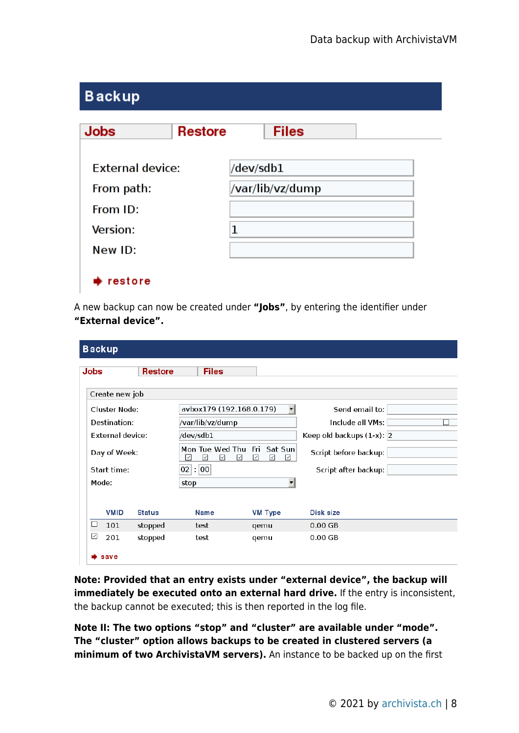| <b>Backup</b>           |                |           |                  |  |
|-------------------------|----------------|-----------|------------------|--|
| <b>Jobs</b>             | <b>Restore</b> |           | <b>Files</b>     |  |
| <b>External device:</b> |                | /dev/sdb1 |                  |  |
| From path:              |                |           | /var/lib/vz/dump |  |
| From ID:                |                |           |                  |  |
| Version:                |                | 1         |                  |  |
| New ID:                 |                |           |                  |  |
| restore                 |                |           |                  |  |

A new backup can now be created under **"Jobs"**, by entering the identifier under **"External device".**

| <b>Backup</b> |                      |                |                  |                                       |                                       |                              |   |  |  |
|---------------|----------------------|----------------|------------------|---------------------------------------|---------------------------------------|------------------------------|---|--|--|
| Jobs          |                      | <b>Restore</b> |                  | <b>Files</b>                          |                                       |                              |   |  |  |
|               | Create new job       |                |                  |                                       |                                       |                              |   |  |  |
|               | <b>Cluster Node:</b> |                |                  | avbox179 (192.168.0.179)              |                                       | Send email to:               |   |  |  |
|               | Destination:         |                | /var/lib/vz/dump |                                       |                                       | Include all VMs:             | П |  |  |
|               | External device:     |                | /dev/sdb1        |                                       |                                       | Keep old backups $(1-x)$ : 2 |   |  |  |
|               | Day of Week:         |                | ⊡<br>$\prec$     | Mon Tue Wed Thu<br>$\prec$<br>$\prec$ | - Fri<br>Sat Sun<br>$\prec$<br>☑<br>⊡ | Script before backup:        |   |  |  |
|               | Start time:          |                | 02 : 00          |                                       |                                       | Script after backup:         |   |  |  |
| Mode:         |                      |                | stop             |                                       |                                       |                              |   |  |  |
|               |                      |                |                  |                                       |                                       |                              |   |  |  |
|               | <b>VMID</b>          | <b>Status</b>  | Name             |                                       | <b>VM Type</b>                        | Disk size                    |   |  |  |
| □             | 101                  | stopped        | test             |                                       | qemu                                  | $0.00$ GB                    |   |  |  |
| ☑             | 201                  | stopped        | test             |                                       | qemu                                  | $0.00$ GB                    |   |  |  |
|               | save                 |                |                  |                                       |                                       |                              |   |  |  |

**Note: Provided that an entry exists under "external device", the backup will immediately be executed onto an external hard drive.** If the entry is inconsistent, the backup cannot be executed; this is then reported in the log file.

**Note II: The two options "stop" and "cluster" are available under "mode". The "cluster" option allows backups to be created in clustered servers (a minimum of two ArchivistaVM servers).** An instance to be backed up on the first